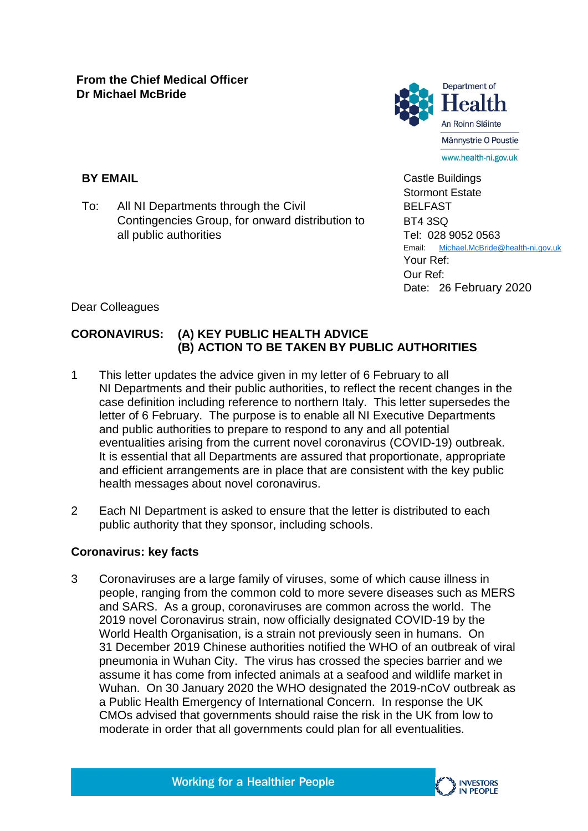

**BY EMAIL**

To: All NI Departments through the Civil Contingencies Group, for onward distribution to all public authorities

Castle Buildings Stormont Estate BELFAST BT4 3SQ Tel: 028 9052 0563 Email: [Michael.McBride@health-ni.gov.uk](mailto:Michael.McBride@health-ni.gov.uk) Your Ref: Our Ref: Date: 26 February 2020

Dear Colleagues

# **CORONAVIRUS: (A) KEY PUBLIC HEALTH ADVICE (B) ACTION TO BE TAKEN BY PUBLIC AUTHORITIES**

- 1 This letter updates the advice given in my letter of 6 February to all NI Departments and their public authorities, to reflect the recent changes in the case definition including reference to northern Italy. This letter supersedes the letter of 6 February. The purpose is to enable all NI Executive Departments and public authorities to prepare to respond to any and all potential eventualities arising from the current novel coronavirus (COVID-19) outbreak. It is essential that all Departments are assured that proportionate, appropriate and efficient arrangements are in place that are consistent with the key public health messages about novel coronavirus.
- 2 Each NI Department is asked to ensure that the letter is distributed to each public authority that they sponsor, including schools.

# **Coronavirus: key facts**

3 Coronaviruses are a large family of viruses, some of which cause illness in people, ranging from the common cold to more severe diseases such as MERS and SARS. As a group, coronaviruses are common across the world. The 2019 novel Coronavirus strain, now officially designated COVID-19 by the World Health Organisation, is a strain not previously seen in humans. On 31 December 2019 Chinese authorities notified the WHO of an outbreak of viral pneumonia in Wuhan City. The virus has crossed the species barrier and we assume it has come from infected animals at a seafood and wildlife market in Wuhan. On 30 January 2020 the WHO designated the 2019-nCoV outbreak as a Public Health Emergency of International Concern. In response the UK CMOs advised that governments should raise the risk in the UK from low to moderate in order that all governments could plan for all eventualities.

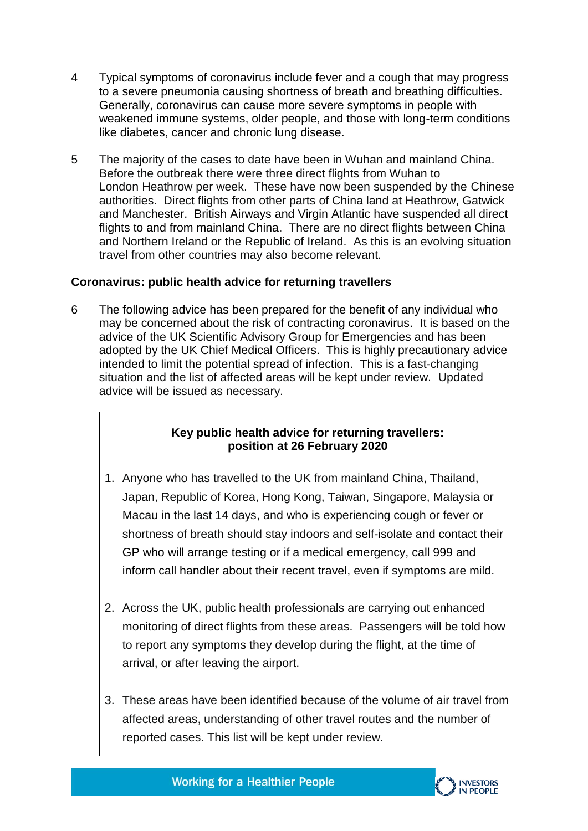- 4 Typical symptoms of coronavirus include fever and a cough that may progress to a severe pneumonia causing shortness of breath and breathing difficulties. Generally, coronavirus can cause more severe symptoms in people with weakened immune systems, older people, and those with long-term conditions like diabetes, cancer and chronic lung disease.
- 5 The majority of the cases to date have been in Wuhan and mainland China. Before the outbreak there were three direct flights from Wuhan to London Heathrow per week. These have now been suspended by the Chinese authorities. Direct flights from other parts of China land at Heathrow, Gatwick and Manchester. British Airways and Virgin Atlantic have suspended all direct flights to and from mainland China. There are no direct flights between China and Northern Ireland or the Republic of Ireland. As this is an evolving situation travel from other countries may also become relevant.

### **Coronavirus: public health advice for returning travellers**

6 The following advice has been prepared for the benefit of any individual who may be concerned about the risk of contracting coronavirus. It is based on the advice of the UK Scientific Advisory Group for Emergencies and has been adopted by the UK Chief Medical Officers. This is highly precautionary advice intended to limit the potential spread of infection. This is a fast-changing situation and the list of affected areas will be kept under review. Updated advice will be issued as necessary.

### **Key public health advice for returning travellers: position at 26 February 2020**

- 1. Anyone who has travelled to the UK from mainland China, Thailand, Japan, Republic of Korea, Hong Kong, Taiwan, Singapore, Malaysia or Macau in the last 14 days, and who is experiencing cough or fever or shortness of breath should stay indoors and self-isolate and contact their GP who will arrange testing or if a medical emergency, call 999 and inform call handler about their recent travel, even if symptoms are mild.
- 2. Across the UK, public health professionals are carrying out enhanced monitoring of direct flights from these areas. Passengers will be told how to report any symptoms they develop during the flight, at the time of arrival, or after leaving the airport.
- 3. These areas have been identified because of the volume of air travel from affected areas, understanding of other travel routes and the number of reported cases. This list will be kept under review.



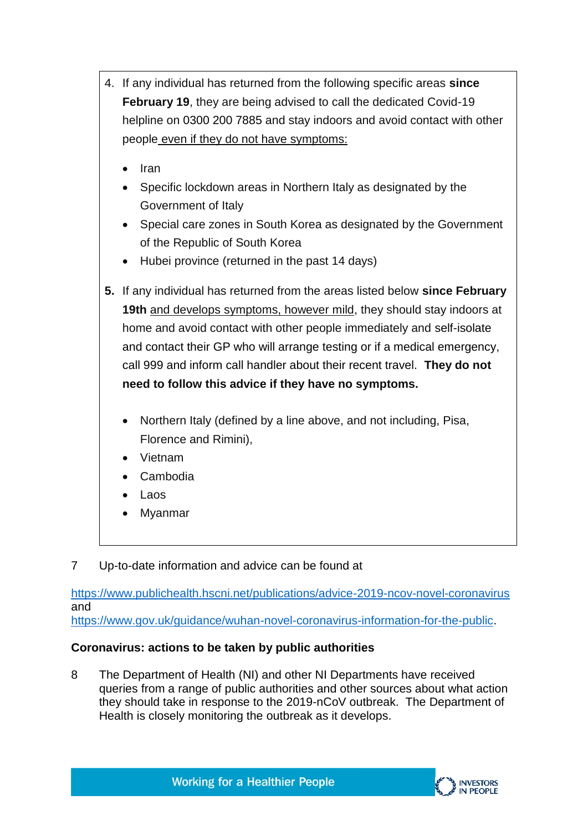- 4. If any individual has returned from the following specific areas **since February 19**, they are being advised to call the dedicated Covid-19 helpline on 0300 200 7885 and stay indoors and avoid contact with other people even if they do not have symptoms:
	- $\bullet$  Iran
	- Specific lockdown areas in Northern Italy as designated by the Government of Italy
	- Special care zones in South Korea as designated by the Government of the Republic of South Korea
	- Hubei province (returned in the past 14 days)
- **5.** If any individual has returned from the areas listed below **since February 19th** and develops symptoms, however mild, they should stay indoors at home and avoid contact with other people immediately and self-isolate and contact their GP who will arrange testing or if a medical emergency, call 999 and inform call handler about their recent travel. **They do not need to follow this advice if they have no symptoms.**
	- Northern Italy (defined by a line above, and not including, Pisa, Florence and Rimini),
	- Vietnam
	- Cambodia
	- Laos
	- Myanmar
- 7 Up-to-date information and advice can be found at

<https://www.publichealth.hscni.net/publications/advice-2019-ncov-novel-coronavirus> and [https://www.gov.uk/guidance/wuhan-novel-coronavirus-information-for-the-public.](https://www.gov.uk/guidance/wuhan-novel-coronavirus-information-for-the-public)

## **Coronavirus: actions to be taken by public authorities**

8 The Department of Health (NI) and other NI Departments have received queries from a range of public authorities and other sources about what action they should take in response to the 2019-nCoV outbreak. The Department of Health is closely monitoring the outbreak as it develops.